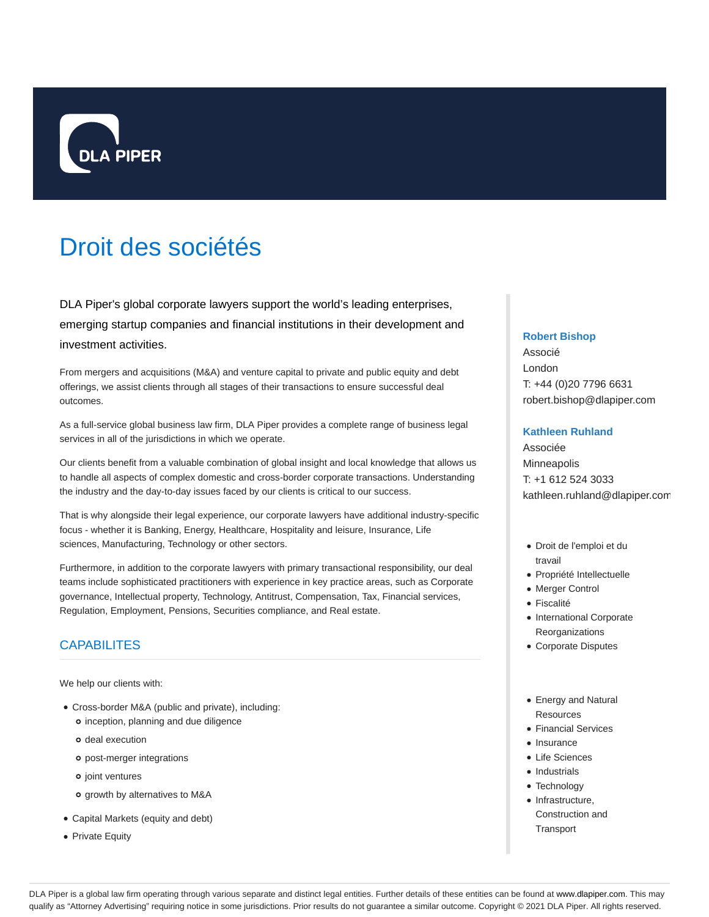

# Droit des sociétés

DLA Piper's global corporate lawyers support the world's leading enterprises, emerging startup companies and financial institutions in their development and investment activities.

From mergers and acquisitions (M&A) and venture capital to private and public equity and debt offerings, we assist clients through all stages of their transactions to ensure successful deal outcomes.

As a full-service global business law firm, DLA Piper provides a complete range of business legal services in all of the jurisdictions in which we operate.

Our clients benefit from a valuable combination of global insight and local knowledge that allows us to handle all aspects of complex domestic and cross-border corporate transactions. Understanding the industry and the day-to-day issues faced by our clients is critical to our success.

That is why alongside their legal experience, our corporate lawyers have additional industry-specific focus - whether it is Banking, Energy, Healthcare, Hospitality and leisure, Insurance, Life sciences, Manufacturing, Technology or other sectors.

Furthermore, in addition to the corporate lawyers with primary transactional responsibility, our deal teams include sophisticated practitioners with experience in key practice areas, such as Corporate governance, Intellectual property, Technology, Antitrust, Compensation, Tax, Financial services, Regulation, Employment, Pensions, Securities compliance, and Real estate.

## **CAPABILITES**

We help our clients with:

- Cross-border M&A (public and private), including: o inception, planning and due diligence
	- o deal execution
	- post-merger integrations
	- o joint ventures
	- o growth by alternatives to M&A
- Capital Markets (equity and debt)
- Private Equity

#### **Robert Bishop**

Associé London T: +44 (0)20 7796 6631 robert.bishop@dlapiper.com

### **Kathleen Ruhland**

Associée **Minneapolis** T: +1 612 524 3033 kathleen.ruhland@dlapiper.com

- Droit de l'emploi et du travail
- Propriété Intellectuelle
- Merger Control
- Fiscalité
- International Corporate Reorganizations
- Corporate Disputes
- Energy and Natural Resources
- Financial Services
- Insurance
- Life Sciences
- Industrials
- Technology
- Infrastructure, Construction and **Transport**